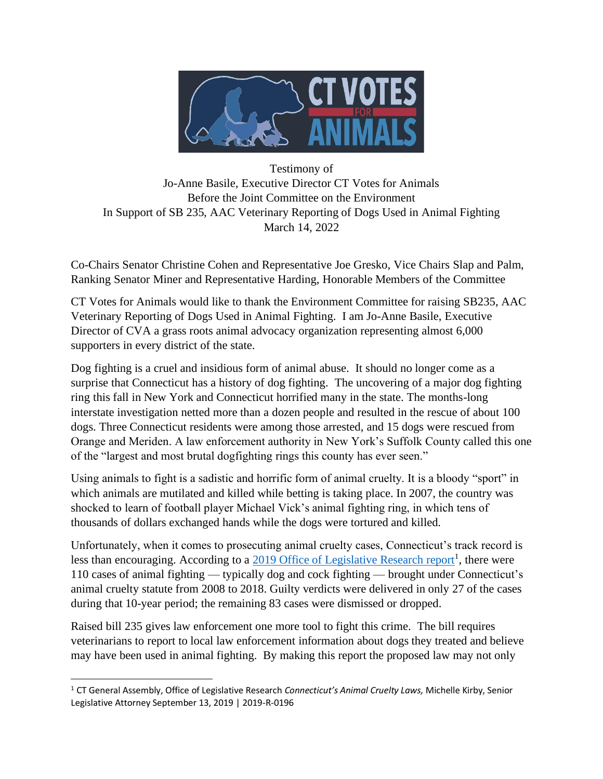

Testimony of Jo-Anne Basile, Executive Director CT Votes for Animals Before the Joint Committee on the Environment In Support of SB 235, AAC Veterinary Reporting of Dogs Used in Animal Fighting March 14, 2022

Co-Chairs Senator Christine Cohen and Representative Joe Gresko, Vice Chairs Slap and Palm, Ranking Senator Miner and Representative Harding, Honorable Members of the Committee

CT Votes for Animals would like to thank the Environment Committee for raising SB235, AAC Veterinary Reporting of Dogs Used in Animal Fighting. I am Jo-Anne Basile, Executive Director of CVA a grass roots animal advocacy organization representing almost 6,000 supporters in every district of the state.

Dog fighting is a cruel and insidious form of animal abuse. It should no longer come as a surprise that Connecticut has a history of dog fighting. The uncovering of a major dog fighting ring this fall in New York and Connecticut horrified many in the state. The months-long interstate investigation netted more than a dozen people and resulted in the rescue of about 100 dogs. Three Connecticut residents were among those arrested, and 15 dogs were rescued from Orange and Meriden. A law enforcement authority in New York's Suffolk County called this one of the "largest and most brutal dogfighting rings this county has ever seen."

Using animals to fight is a sadistic and horrific form of animal cruelty. It is a bloody "sport" in which animals are mutilated and killed while betting is taking place. In 2007, the country was shocked to learn of football player Michael Vick's animal fighting ring, in which tens of thousands of dollars exchanged hands while the dogs were tortured and killed.

Unfortunately, when it comes to prosecuting animal cruelty cases, Connecticut's track record is less than encouraging. According to a 2019 [Office of Legislative Research report](https://www.cga.ct.gov/2019/rpt/pdf/2019-R-0154.pdf)<sup>1</sup>, there were 110 cases of animal fighting — typically dog and cock fighting — brought under Connecticut's animal cruelty statute from 2008 to 2018. Guilty verdicts were delivered in only 27 of the cases during that 10-year period; the remaining 83 cases were dismissed or dropped.

Raised bill 235 gives law enforcement one more tool to fight this crime. The bill requires veterinarians to report to local law enforcement information about dogs they treated and believe may have been used in animal fighting. By making this report the proposed law may not only

<sup>1</sup> CT General Assembly, Office of Legislative Research *Connecticut's Animal Cruelty Laws,* Michelle Kirby, Senior Legislative Attorney September 13, 2019 | 2019-R-0196